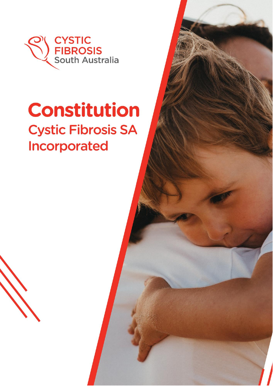

# **Constitution Cystic Fibrosis SA** Incorporated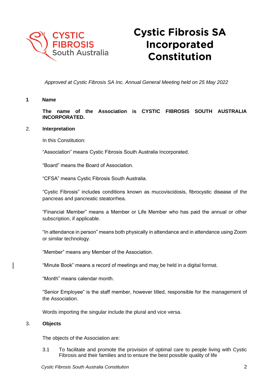

# **Cystic Fibrosis SA** Incorporated **Constitution**

*Approved at Cystic Fibrosis SA Inc. Annual General Meeting held on 25 May 2022*

# **1 Name**

**The name of the Association is CYSTIC FIBROSIS SOUTH AUSTRALIA INCORPORATED.**

# 2. **Interpretation**

In this Constitution:

"Association" means Cystic Fibrosis South Australia Incorporated.

"Board" means the Board of Association.

"CFSA" means Cystic Fibrosis South Australia.

"Cystic Fibrosis" includes conditions known as mucoviscidosis, fibrocystic disease of the pancreas and pancreatic steatorrhea.

"Financial Member" means a Member or Life Member who has paid the annual or other subscription, if applicable.

"In attendance in person" means both physically in attendance and in attendance using Zoom or similar technology.

"Member" means any Member of the Association.

"Minute Book" means a record of meetings and may be held in a digital format.

"Month" means calendar month.

"Senior Employee" is the staff member, however titled, responsible for the management of the Association.

Words importing the singular include the plural and vice versa.

# 3. **Objects**

The objects of the Association are:

3.1 To facilitate and promote the provision of optimal care to people living with Cystic Fibrosis and their families and to ensure the best possible quality of life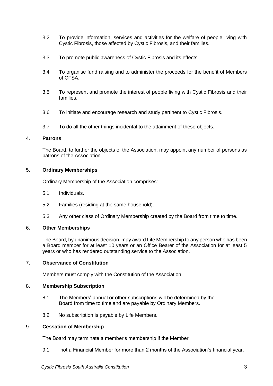- 3.2 To provide information, services and activities for the welfare of people living with Cystic Fibrosis, those affected by Cystic Fibrosis, and their families.
- 3.3 To promote public awareness of Cystic Fibrosis and its effects.
- 3.4 To organise fund raising and to administer the proceeds for the benefit of Members of CFSA.
- 3.5 To represent and promote the interest of people living with Cystic Fibrosis and their families.
- 3.6 To initiate and encourage research and study pertinent to Cystic Fibrosis.
- 3.7 To do all the other things incidental to the attainment of these objects.

# 4. **Patrons**

The Board, to further the objects of the Association, may appoint any number of persons as patrons of the Association.

#### 5. **Ordinary Memberships**

Ordinary Membership of the Association comprises:

- 5.1 Individuals.
- 5.2 Families (residing at the same household).
- 5.3 Any other class of Ordinary Membership created by the Board from time to time.

# 6. **Other Memberships**

The Board, by unanimous decision, may award Life Membership to any person who has been a Board member for at least 10 years or an Office Bearer of the Association for at least 5 years or who has rendered outstanding service to the Association.

# 7. **Observance of Constitution**

Members must comply with the Constitution of the Association.

#### 8. **Membership Subscription**

- 8.1 The Members' annual or other subscriptions will be determined by the Board from time to time and are payable by Ordinary Members.
- 8.2 No subscription is payable by Life Members.

#### 9. **Cessation of Membership**

The Board may terminate a member's membership if the Member:

9.1 not a Financial Member for more than 2 months of the Association's financial year.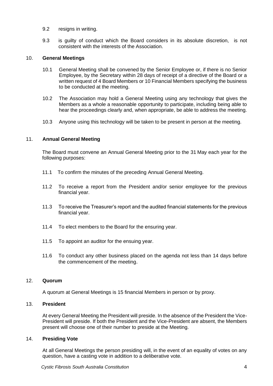- 9.2 resigns in writing.
- 9.3 is guilty of conduct which the Board considers in its absolute discretion, is not consistent with the interests of the Association.

# 10. **General Meetings**

- 10.1 General Meeting shall be convened by the Senior Employee or, if there is no Senior Employee, by the Secretary within 28 days of receipt of a directive of the Board or a written request of 4 Board Members or 10 Financial Members specifying the business to be conducted at the meeting.
- 10.2 The Association may hold a General Meeting using any technology that gives the Members as a whole a reasonable opportunity to participate, including being able to hear the proceedings clearly and, when appropriate, be able to address the meeting.
- 10.3 Anyone using this technology will be taken to be present in person at the meeting.

#### 11. **Annual General Meeting**

The Board must convene an Annual General Meeting prior to the 31 May each year for the following purposes:

- 11.1 To confirm the minutes of the preceding Annual General Meeting.
- 11.2 To receive a report from the President and/or senior employee for the previous financial year.
- 11.3 To receive the Treasurer's report and the audited financial statements for the previous financial year.
- 11.4 To elect members to the Board for the ensuring year.
- 11.5 To appoint an auditor for the ensuing year.
- 11.6 To conduct any other business placed on the agenda not less than 14 days before the commencement of the meeting.

#### 12. **Quorum**

A quorum at General Meetings is 15 financial Members in person or by proxy.

# 13. **President**

At every General Meeting the President will preside. In the absence of the President the Vice-President will preside. If both the President and the Vice-President are absent, the Members present will choose one of their number to preside at the Meeting.

# 14. **Presiding Vote**

At all General Meetings the person presiding will, in the event of an equality of votes on any question, have a casting vote in addition to a deliberative vote.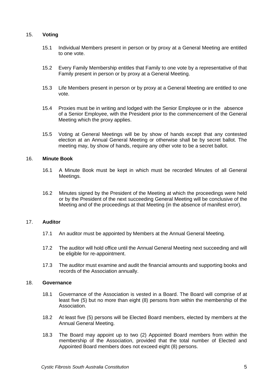# 15. **Voting**

- 15.1 Individual Members present in person or by proxy at a General Meeting are entitled to one vote.
- 15.2 Every Family Membership entitles that Family to one vote by a representative of that Family present in person or by proxy at a General Meeting.
- 15.3 Life Members present in person or by proxy at a General Meeting are entitled to one vote.
- 15.4 Proxies must be in writing and lodged with the Senior Employee or in the absence of a Senior Employee, with the President prior to the commencement of the General Meeting which the proxy applies.
- 15.5 Voting at General Meetings will be by show of hands except that any contested election at an Annual General Meeting or otherwise shall be by secret ballot. The meeting may, by show of hands, require any other vote to be a secret ballot.

# 16. **Minute Book**

- 16.1 A Minute Book must be kept in which must be recorded Minutes of all General Meetings.
- 16.2 Minutes signed by the President of the Meeting at which the proceedings were held or by the President of the next succeeding General Meeting will be conclusive of the Meeting and of the proceedings at that Meeting (in the absence of manifest error).

# 17. **Auditor**

- 17.1 An auditor must be appointed by Members at the Annual General Meeting.
- 17.2 The auditor will hold office until the Annual General Meeting next succeeding and will be eligible for re-appointment.
- 17.3 The auditor must examine and audit the financial amounts and supporting books and records of the Association annually.

#### 18. **Governance**

- 18.1 Governance of the Association is vested in a Board. The Board will comprise of at least five (5) but no more than eight (8) persons from within the membership of the Association.
- 18.2 At least five (5) persons will be Elected Board members, elected by members at the Annual General Meeting.
- 18.3 The Board may appoint up to two (2) Appointed Board members from within the membership of the Association, provided that the total number of Elected and Appointed Board members does not exceed eight (8) persons.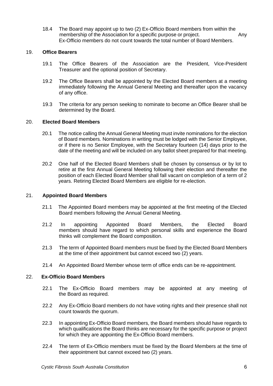18.4 The Board may appoint up to two (2) Ex-Officio Board members from within the membership of the Association for a specific purpose or project. Any Ex-Officio members do not count towards the total number of Board Members.

# 19. **Office Bearers**

- 19.1 The Office Bearers of the Association are the President, Vice-President Treasurer and the optional position of Secretary.
- 19.2 The Office Bearers shall be appointed by the Elected Board members at a meeting immediately following the Annual General Meeting and thereafter upon the vacancy of any office.
- 19.3 The criteria for any person seeking to nominate to become an Office Bearer shall be determined by the Board.

#### 20. **Elected Board Members**

- 20.1 The notice calling the Annual General Meeting must invite nominations for the election of Board members. Nominations in writing must be lodged with the Senior Employee, or if there is no Senior Employee, with the Secretary fourteen (14) days prior to the date of the meeting and will be included on any ballot sheet prepared for that meeting.
- 20.2 One half of the Elected Board Members shall be chosen by consensus or by lot to retire at the first Annual General Meeting following their election and thereafter the position of each Elected Board Member shall fall vacant on completion of a term of 2 years. Retiring Elected Board Members are eligible for re-election.

#### 21. **Appointed Board Members**

- 21.1 The Appointed Board members may be appointed at the first meeting of the Elected Board members following the Annual General Meeting.
- 21.2 In appointing Appointed Board Members, the Elected Board members should have regard to which personal skills and experience the Board thinks will complement the Board composition.
- 21.3 The term of Appointed Board members must be fixed by the Elected Board Members at the time of their appointment but cannot exceed two (2) years.
- 21.4 An Appointed Board Member whose term of office ends can be re-appointment.

#### 22. **Ex-Officio Board Members**

- 22.1 The Ex-Officio Board members may be appointed at any meeting of the Board as required.
- 22.2 Any Ex-Officio Board members do not have voting rights and their presence shall not count towards the quorum.
- 22.3 In appointing Ex-Officio Board members, the Board members should have regards to which qualifications the Board thinks are necessary for the specific purpose or project for which they are appointing the Ex-Officio Board members.
- 22.4 The term of Ex-Officio members must be fixed by the Board Members at the time of their appointment but cannot exceed two (2) years.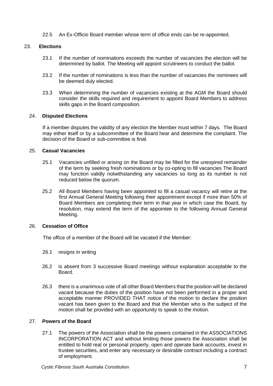22.5 An Ex-Officio Board member whose term of office ends can be re-appointed.

# 23. **Elections**

- 23.1 If the number of nominations exceeds the number of vacancies the election will be determined by ballot. The Meeting will appoint scrutineers to conduct the ballot.
- 23.2 If the number of nominations is less than the number of vacancies the nominees will be deemed duly elected.
- 23.3 When determining the number of vacancies existing at the AGM the Board should consider the skills required and requirement to appoint Board Members to address skills gaps in the Board composition.

# 24. **Disputed Elections**

If a member disputes the validity of any election the Member must within 7 days. The Board may either itself or by a subcommittee of the Board hear and determine the complaint. The decision of the Board or sub-committee is final.

#### 25. **Casual Vacancies**

- 25.1 Vacancies unfilled or arising on the Board may be filled for the unexpired remainder of the term by seeking fresh nominations or by co-opting to fill vacancies The Board may function validly notwithstanding any vacancies so long as its number is not reduced below the quorum.
- 25.2 All Board Members having been appointed to fill a casual vacancy will retire at the first Annual General Meeting following their appointment except if more than 50% of Board Members are completing their term in that year in which case the Board, by resolution, may extend the term of the appointee to the following Annual General Meeting.

#### 26. **Cessation of Office**

The office of a member of the Board will be vacated if the Member:

- 26.1 resigns in writing
- 26.2 is absent from 3 successive Board meetings without explanation acceptable to the Board.
- 26.3 there is a unanimous vote of all other Board Members that the position will be declared vacant because the duties of the position have not been performed in a proper and acceptable manner PROVIDED THAT notice of the motion to declare the position vacant has been given to the Board and that the Member who is the subject of the motion shall be provided with an opportunity to speak to the motion.

# 27. **Powers of the Board**

27.1 The powers of the Association shall be the powers contained in the ASSOCIATIONS INCORPORATION ACT and without limiting those powers the Association shall be entitled to hold real or personal property, open and operate bank accounts, invest in trustee securities, and enter any necessary or desirable contract including a contract of employment.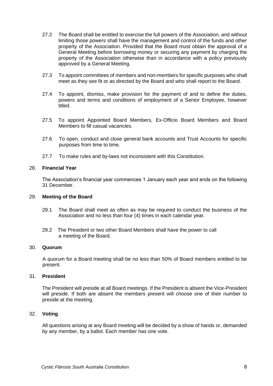- 27.2 The Board shall be entitled to exercise the full powers of the Association, and without limiting those powers shall have the management and control of the funds and other property of the Association. Provided that the Board must obtain the approval of a General Meeting before borrowing money or securing any payment by charging the property of the Association otherwise than in accordance with a policy previously approved by a General Meeting.
- 27.3 To appoint committees of members and non-members for specific purposes who shall meet as they see fit or as directed by the Board and who shall report to the Board.
- 27.4 To appoint, dismiss, make provision for the payment of and to define the duties, powers and terms and conditions of employment of a Senior Employee, however titled.
- 27.5 To appoint Appointed Board Members, Ex-Officio Board Members and Board Members to fill casual vacancies.
- 27.6 To open, conduct and close general bank accounts and Trust Accounts for specific purposes from time to time.
- 27.7 To make rules and by-laws not inconsistent with this Constitution.

# 28. **Financial Year**

The Association's financial year commences 1 January each year and ends on the following 31 December.

#### 29. **Meeting of the Board**

- 29.1 The Board shall meet as often as may be required to conduct the business of the Association and no less than four (4) times in each calendar year.
- 29.2 The President or two other Board Members shall have the power to call a meeting of the Board.

#### 30. **Quorum**

A quorum for a Board meeting shall be no less than 50% of Board members entitled to be present.

#### 31. **President**

The President will preside at all Board meetings. If the President is absent the Vice-President will preside. If both are absent the members present will choose one of their number to preside at the meeting.

#### 32. **Voting**

All questions arising at any Board meeting will be decided by a show of hands or, demanded by any member, by a ballot. Each member has one vote.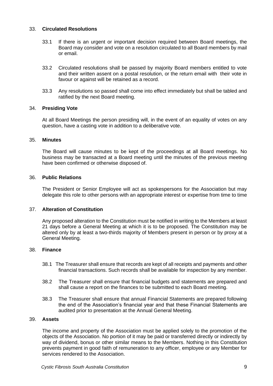# 33. **Circulated Resolutions**

- 33.1 If there is an urgent or important decision required between Board meetings, the Board may consider and vote on a resolution circulated to all Board members by mail or email.
- 33.2 Circulated resolutions shall be passed by majority Board members entitled to vote and their written assent on a postal resolution, or the return email with their vote in favour or against will be retained as a record.
- 33.3 Any resolutions so passed shall come into effect immediately but shall be tabled and ratified by the next Board meeting.

# 34. **Presiding Vote**

At all Board Meetings the person presiding will, in the event of an equality of votes on any question, have a casting vote in addition to a deliberative vote.

# 35. **Minutes**

The Board will cause minutes to be kept of the proceedings at all Board meetings. No business may be transacted at a Board meeting until the minutes of the previous meeting have been confirmed or otherwise disposed of.

# 36. **Public Relations**

The President or Senior Employee will act as spokespersons for the Association but may delegate this role to other persons with an appropriate interest or expertise from time to time

# 37. **Alteration of Constitution**

Any proposed alteration to the Constitution must be notified in writing to the Members at least 21 days before a General Meeting at which it is to be proposed. The Constitution may be altered only by at least a two-thirds majority of Members present in person or by proxy at a General Meeting.

# 38. **Finance**

- 38.1 The Treasurer shall ensure that records are kept of all receipts and payments and other financial transactions. Such records shall be available for inspection by any member.
- 38.2 The Treasurer shall ensure that financial budgets and statements are prepared and shall cause a report on the finances to be submitted to each Board meeting.
- 38.3 The Treasurer shall ensure that annual Financial Statements are prepared following the end of the Association's financial year and that these Financial Statements are audited prior to presentation at the Annual General Meeting.

#### 39. **Assets**

The income and property of the Association must be applied solely to the promotion of the objects of the Association. No portion of it may be paid or transferred directly or indirectly by way of dividend, bonus or other similar means to the Members. Nothing in this Constitution prevents payment in good faith of remuneration to any officer, employee or any Member for services rendered to the Association.